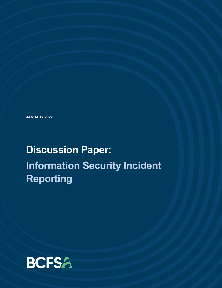**JANUARY 2022**

# **Discussion Paper: Information Security Incident Reporting**

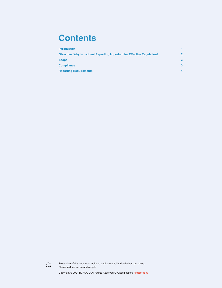### **Contents**

| <b>Introduction</b>                                                             |              |
|---------------------------------------------------------------------------------|--------------|
| <b>Objective: Why is Incident Reporting Important for Effective Regulation?</b> | $\mathbf{P}$ |
| <b>Scope</b>                                                                    | 3            |
| <b>Compliance</b>                                                               | 3            |
| <b>Reporting Requirements</b>                                                   |              |



Production of this document included environmentally friendly best practices. Please reduce, reuse and recycle.

Copyright © 2021 BCFSA O All Rights Reserved O Classification: Protected A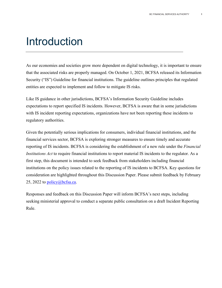### <span id="page-2-0"></span>Introduction

As our economies and societies grow more dependent on digital technology, it is important to ensure that the associated risks are properly managed. On October 1, 2021, BCFSA released its Information Security ("IS") Guideline for financial institutions. The guideline outlines principles that regulated entities are expected to implement and follow to mitigate IS risks.

Like IS guidance in other jurisdictions, BCFSA's Information Security Guideline includes expectations to report specified IS incidents. However, BCFSA is aware that in some jurisdictions with IS incident reporting expectations, organizations have not been reporting these incidents to regulatory authorities.

Given the potentially serious implications for consumers, individual financial institutions, and the financial services sector, BCFSA is exploring stronger measures to ensure timely and accurate reporting of IS incidents. BCFSA is considering the establishment of a new rule under the *Financial Institutions Act* to require financial institutions to report material IS incidents to the regulator. As a first step, this document is intended to seek feedback from stakeholders including financial institutions on the policy issues related to the reporting of IS incidents to BCFSA. Key questions for consideration are highlighted throughout this Discussion Paper. Please submit feedback by February 25, 2022 to [policy@bcfsa.ca.](mailto:policy@bcfsa.ca)

Responses and feedback on this Discussion Paper will inform BCFSA's next steps, including seeking ministerial approval to conduct a separate public consultation on a draft Incident Reporting Rule.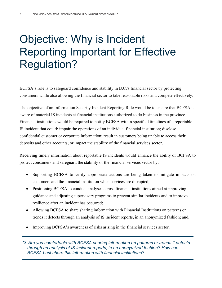# <span id="page-3-0"></span>Objective: Why is Incident Reporting Important for Effective Regulation?

BCFSA's role is to safeguard confidence and stability in B.C.'s financial sector by protecting consumers while also allowing the financial sector to take reasonable risks and compete effectively.

The objective of an Information Security Incident Reporting Rule would be to ensure that BCFSA is aware of material IS incidents at financial institutions authorized to do business in the province. Financial institutions would be required to notify BCFSA within specified timelines of a reportable IS incident that could: impair the operations of an individual financial institution; disclose confidential customer or corporate information; result in customers being unable to access their deposits and other accounts; or impact the stability of the financial services sector.

Receiving timely information about reportable IS incidents would enhance the ability of BCFSA to protect consumers and safeguard the stability of the financial services sector by:

- Supporting BCFSA to verify appropriate actions are being taken to mitigate impacts on customers and the financial institution when services are disrupted;
- Positioning BCFSA to conduct analyses across financial institutions aimed at improving guidance and adjusting supervisory programs to prevent similar incidents and to improve resilience after an incident has occurred;
- Allowing BCFSA to share sharing information with Financial Institutions on patterns or trends it detects through an analysis of IS incident reports, in an anonymized fashion; and,
- Improving BCFSA's awareness of risks arising in the financial services sector.

*Q. Are you comfortable with BCFSA sharing information on patterns or trends it detects through an analysis of IS incident reports, in an anonymized fashion? How can BCFSA best share this information with financial institutions?*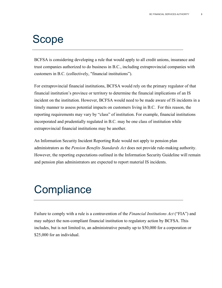### <span id="page-4-0"></span>Scope

BCFSA is considering developing a rule that would apply to all credit unions, insurance and trust companies authorized to do business in B.C., including extraprovincial companies with customers in B.C. (collectively, "financial institutions").

For extraprovincial financial institutions, BCFSA would rely on the primary regulator of that financial institution's province or territory to determine the financial implications of an IS incident on the institution. However, BCFSA would need to be made aware of IS incidents in a timely manner to assess potential impacts on customers living in B.C. For this reason, the reporting requirements may vary by "class" of institution. For example, financial institutions incorporated and prudentially regulated in B.C. may be one class of institution while extraprovincial financial institutions may be another.

An Information Security Incident Reporting Rule would not apply to pension plan administrators as the *Pension Benefits Standards Act* does not provide rule-making authority. However, the reporting expectations outlined in the Information Security Guideline will remain and pension plan administrators are expected to report material IS incidents.

# <span id="page-4-1"></span>**Compliance**

Failure to comply with a rule is a contravention of the *Financial Institutions Act* ("FIA") and may subject the non-compliant financial institution to regulatory action by BCFSA. This includes, but is not limited to, an administrative penalty up to \$50,000 for a corporation or \$25,000 for an individual.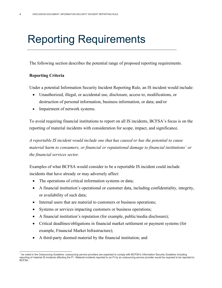## <span id="page-5-0"></span>Reporting Requirements

The following section describes the potential range of proposed reporting requirements.

#### **Reporting Criteria**

Under a potential Information Security Incident Reporting Rule, an IS incident would include:

- Unauthorized, illegal, or accidental use, disclosure, access to, modifications, or destruction of personal information, business information, or data; and/or
- Impairment of network systems.

To avoid requiring financial institutions to report on all IS incidents, BCFSA's focus is on the reporting of material incidents with consideration for scope, impact, and significance.

*A reportable IS incident would include one that has caused or has the potential to cause material harm to consumers, or financial or reputational damage to financial institutions[1](#page-5-1) or the financial services sector.*

Examples of what BCFSA would consider to be a reportable IS incident could include incidents that have already or may adversely affect:

- The operations of critical information systems or data;
- A financial institution's operational or customer data, including confidentiality, integrity, or availability of such data;
- Internal users that are material to customers or business operations;
- Systems or services impacting customers or business operations;
- A financial institution's reputation (for example, public/media disclosure);
- Critical deadlines/obligations in financial market settlement or payment systems (for example, Financial Market Infrastructure);
- A third-party deemed material by the financial institution; and

<span id="page-5-1"></span>As noted in the Outsourcing Guideline, outsourcing service providers are expected to comply with BCFSA's Information Security Guideline including reporting of material IS incidents affecting the FI. Material incidents reported to an FI by an outsourcing service provider would be required to be reported to BCFSA.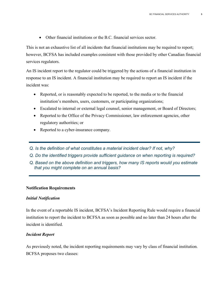• Other financial institutions or the B.C. financial services sector.

This is not an exhaustive list of all incidents that financial institutions may be required to report; however, BCFSA has included examples consistent with those provided by other Canadian financial services regulators.

An IS incident report to the regulator could be triggered by the actions of a financial institution in response to an IS incident. A financial institution may be required to report an IS incident if the incident was:

- Reported, or is reasonably expected to be reported, to the media or to the financial institution's members, users, customers, or participating organizations;
- Escalated to internal or external legal counsel, senior management, or Board of Directors;
- Reported to the Office of the Privacy Commissioner, law enforcement agencies, other regulatory authorities; or
- Reported to a cyber-insurance company.
- *Q. Is the definition of what constitutes a material incident clear? If not, why?*
- *Q. Do the identified triggers provide sufficient guidance on when reporting is required?*
- *Q. Based on the above definition and triggers, how many IS reports would you estimate that you might complete on an annual basis?*

#### **Notification Requirements**

#### *Initial Notification*

In the event of a reportable IS incident, BCFSA's Incident Reporting Rule would require a financial institution to report the incident to BCFSA as soon as possible and no later than 24 hours after the incident is identified.

#### *Incident Report*

As previously noted, the incident reporting requirements may vary by class of financial institution. BCFSA proposes two classes: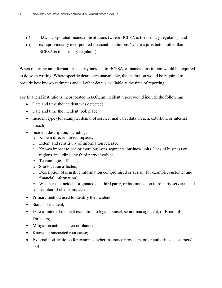- (i) B.C. incorporated financial institutions (where BCFSA is the primary regulator); and
- (ii) extraprovincially incorporated financial institutions (where a jurisdiction other than BCFSA is the primary regulator).

When reporting an information security incident to BCFSA, a financial institution would be required to do so in writing. Where specific details are unavailable, the institution would be required to provide best known estimates and all other details available at the time of reporting.

For financial institutions incorporated in B.C., an incident report would include the following:

- Date and time the incident was detected;
- Date and time the incident took place;
- Incident type (for example, denial of service, malware, data breach, extortion, or internal breach);
- Incident description, including:
	- o Known direct/indirect impacts,
	- o Extent and sensitivity of information released,
	- o Known impact to one or more business segments, business units, lines of business or regions, including any third party involved,
	- o Technologies affected,
	- o Site/location affected,
	- o Description of sensitive information compromised or at risk (for example, customer and financial information),
	- o Whether the incident originated at a third party, or has impact on third party services, and
	- o Number of clients impacted;
- Primary method used to identify the incident;
- Status of incident;
- Date of internal incident escalation to legal counsel, senior management, or Board of Directors:
- Mitigation actions taken or planned;
- Known or suspected root cause;
- External notifications (for example, cyber insurance providers, other authorities, customers); and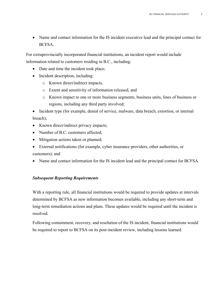• Name and contact information for the IS incident executive lead and the principal contact for BCFSA.

For extraprovincially incorporated financial institutions, an incident report would include information related to customers residing in B.C., including:

- Date and time the incident took place;
- Incident description, including:
	- o Known direct/indirect impacts,
	- o Extent and sensitivity of information released, and
	- o Known impact to one or more business segments, business units, lines of business or regions, including any third party involved;

• Incident type (for example, denial of service, malware, data breach, extortion, or internal breach);

- Known direct/indirect privacy impacts;
- Number of B.C. customers affected:
- Mitigation actions taken or planned;
- External notifications (for example, cyber insurance providers, other authorities, or customers); and
- Name and contact information for the IS incident lead and the principal contact for BCFSA.

#### *Subsequent Reporting Requirements*

With a reporting rule, all financial institutions would be required to provide updates at intervals determined by BCFSA as new information becomes available, including any short-term and long-term remediation actions and plans. These updates would be required until the incident is resolved.

Following containment, recovery, and resolution of the IS incident, financial institutions would be required to report to BCFSA on its post-incident review, including lessons learned.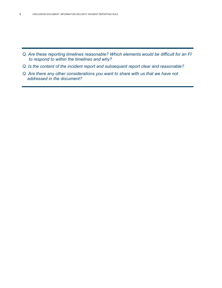- *Q. Are these reporting timelines reasonable? Which elements would be difficult for an FI to respond to within the timelines and why?*
- *Q. Is the content of the incident report and subsequent report clear and reasonable?*
- *Q. Are there any other considerations you want to share with us that we have not addressed in the document?*